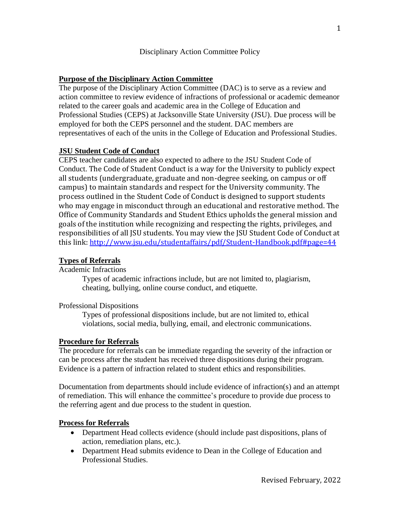## **Purpose of the Disciplinary Action Committee**

The purpose of the Disciplinary Action Committee (DAC) is to serve as a review and action committee to review evidence of infractions of professional or academic demeanor related to the career goals and academic area in the College of Education and Professional Studies (CEPS) at Jacksonville State University (JSU). Due process will be employed for both the CEPS personnel and the student. DAC members are representatives of each of the units in the College of Education and Professional Studies.

### **JSU Student Code of Conduct**

CEPS teacher candidates are also expected to adhere to the JSU Student Code of Conduct. The Code of Student Conduct is a way for the University to publicly expect all students (undergraduate, graduate and non-degree seeking, on campus or off campus) to maintain standards and respect for the University community. The process outlined in the Student Code of Conduct is designed to support students who may engage in misconduct through an educational and restorative method. The Office of Community Standards and Student Ethics upholds the general mission and goals of the institution while recognizing and respecting the rights, privileges, and responsibilities of all JSU students. You may view the JSU Student Code of Conduct at this link:<http://www.jsu.edu/studentaffairs/pdf/Student-Handbook.pdf#page=44>

#### **Types of Referrals**

Academic Infractions

Types of academic infractions include, but are not limited to, plagiarism, cheating, bullying, online course conduct, and etiquette.

#### Professional Dispositions

Types of professional dispositions include, but are not limited to, ethical violations, social media, bullying, email, and electronic communications.

#### **Procedure for Referrals**

The procedure for referrals can be immediate regarding the severity of the infraction or can be process after the student has received three dispositions during their program. Evidence is a pattern of infraction related to student ethics and responsibilities.

Documentation from departments should include evidence of infraction(s) and an attempt of remediation. This will enhance the committee's procedure to provide due process to the referring agent and due process to the student in question.

#### **Process for Referrals**

- Department Head collects evidence (should include past dispositions, plans of action, remediation plans, etc.).
- Department Head submits evidence to Dean in the College of Education and Professional Studies.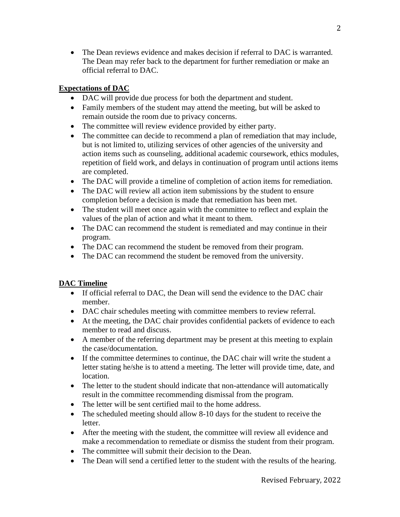• The Dean reviews evidence and makes decision if referral to DAC is warranted. The Dean may refer back to the department for further remediation or make an official referral to DAC.

## **Expectations of DAC**

- DAC will provide due process for both the department and student.
- Family members of the student may attend the meeting, but will be asked to remain outside the room due to privacy concerns.
- The committee will review evidence provided by either party.
- The committee can decide to recommend a plan of remediation that may include, but is not limited to, utilizing services of other agencies of the university and action items such as counseling, additional academic coursework, ethics modules, repetition of field work, and delays in continuation of program until actions items are completed.
- The DAC will provide a timeline of completion of action items for remediation.
- The DAC will review all action item submissions by the student to ensure completion before a decision is made that remediation has been met.
- The student will meet once again with the committee to reflect and explain the values of the plan of action and what it meant to them.
- The DAC can recommend the student is remediated and may continue in their program.
- The DAC can recommend the student be removed from their program.
- The DAC can recommend the student be removed from the university.

# **DAC Timeline**

- If official referral to DAC, the Dean will send the evidence to the DAC chair member.
- DAC chair schedules meeting with committee members to review referral.
- At the meeting, the DAC chair provides confidential packets of evidence to each member to read and discuss.
- A member of the referring department may be present at this meeting to explain the case/documentation.
- If the committee determines to continue, the DAC chair will write the student a letter stating he/she is to attend a meeting. The letter will provide time, date, and location.
- The letter to the student should indicate that non-attendance will automatically result in the committee recommending dismissal from the program.
- The letter will be sent certified mail to the home address.
- The scheduled meeting should allow 8-10 days for the student to receive the letter.
- After the meeting with the student, the committee will review all evidence and make a recommendation to remediate or dismiss the student from their program.
- The committee will submit their decision to the Dean.
- The Dean will send a certified letter to the student with the results of the hearing.